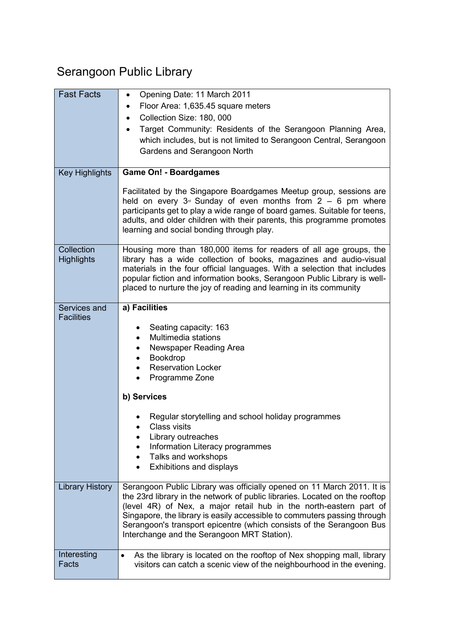## Serangoon Public Library

| <b>Fast Facts</b><br><b>Key Highlights</b> | Opening Date: 11 March 2011<br>$\bullet$<br>Floor Area: 1,635.45 square meters<br>Collection Size: 180, 000<br>Target Community: Residents of the Serangoon Planning Area,<br>which includes, but is not limited to Serangoon Central, Serangoon<br>Gardens and Serangoon North<br><b>Game On! - Boardgames</b><br>Facilitated by the Singapore Boardgames Meetup group, sessions are<br>held on every $3^{\omega}$ Sunday of even months from 2 - 6 pm where<br>participants get to play a wide range of board games. Suitable for teens,<br>adults, and older children with their parents, this programme promotes<br>learning and social bonding through play. |  |  |
|--------------------------------------------|-------------------------------------------------------------------------------------------------------------------------------------------------------------------------------------------------------------------------------------------------------------------------------------------------------------------------------------------------------------------------------------------------------------------------------------------------------------------------------------------------------------------------------------------------------------------------------------------------------------------------------------------------------------------|--|--|
| Collection                                 | Housing more than 180,000 items for readers of all age groups, the                                                                                                                                                                                                                                                                                                                                                                                                                                                                                                                                                                                                |  |  |
| <b>Highlights</b>                          | library has a wide collection of books, magazines and audio-visual<br>materials in the four official languages. With a selection that includes<br>popular fiction and information books, Serangoon Public Library is well-<br>placed to nurture the joy of reading and learning in its community                                                                                                                                                                                                                                                                                                                                                                  |  |  |
| Services and<br><b>Facilities</b>          | a) Facilities<br>Seating capacity: 163<br>Multimedia stations<br>Newspaper Reading Area<br>Bookdrop<br>$\bullet$<br><b>Reservation Locker</b><br>$\bullet$<br>Programme Zone<br>$\bullet$                                                                                                                                                                                                                                                                                                                                                                                                                                                                         |  |  |
|                                            | b) Services                                                                                                                                                                                                                                                                                                                                                                                                                                                                                                                                                                                                                                                       |  |  |
|                                            | Regular storytelling and school holiday programmes<br>Class visits<br>Library outreaches<br>Information Literacy programmes<br>Talks and workshops<br>$\bullet$<br>Exhibitions and displays                                                                                                                                                                                                                                                                                                                                                                                                                                                                       |  |  |
| <b>Library History</b>                     | Serangoon Public Library was officially opened on 11 March 2011. It is<br>the 23rd library in the network of public libraries. Located on the rooftop<br>(level 4R) of Nex, a major retail hub in the north-eastern part of<br>Singapore, the library is easily accessible to commuters passing through<br>Serangoon's transport epicentre (which consists of the Serangoon Bus<br>Interchange and the Serangoon MRT Station).                                                                                                                                                                                                                                    |  |  |
| Interesting<br>Facts                       | As the library is located on the rooftop of Nex shopping mall, library<br>$\bullet$<br>visitors can catch a scenic view of the neighbourhood in the evening.                                                                                                                                                                                                                                                                                                                                                                                                                                                                                                      |  |  |